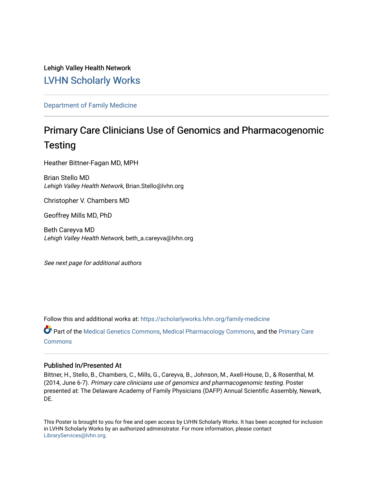Lehigh Valley Health Network [LVHN Scholarly Works](https://scholarlyworks.lvhn.org/)

[Department of Family Medicine](https://scholarlyworks.lvhn.org/family-medicine) 

### Primary Care Clinicians Use of Genomics and Pharmacogenomic **Testing**

Heather Bittner-Fagan MD, MPH

Brian Stello MD Lehigh Valley Health Network, Brian.Stello@lvhn.org

Christopher V. Chambers MD

Geoffrey Mills MD, PhD

Beth Careyva MD Lehigh Valley Health Network, beth\_a.careyva@lvhn.org

See next page for additional authors

Follow this and additional works at: [https://scholarlyworks.lvhn.org/family-medicine](https://scholarlyworks.lvhn.org/family-medicine?utm_source=scholarlyworks.lvhn.org%2Ffamily-medicine%2F151&utm_medium=PDF&utm_campaign=PDFCoverPages) 

Part of the [Medical Genetics Commons,](https://network.bepress.com/hgg/discipline/670?utm_source=scholarlyworks.lvhn.org%2Ffamily-medicine%2F151&utm_medium=PDF&utm_campaign=PDFCoverPages) [Medical Pharmacology Commons](https://network.bepress.com/hgg/discipline/960?utm_source=scholarlyworks.lvhn.org%2Ffamily-medicine%2F151&utm_medium=PDF&utm_campaign=PDFCoverPages), and the [Primary Care](https://network.bepress.com/hgg/discipline/1092?utm_source=scholarlyworks.lvhn.org%2Ffamily-medicine%2F151&utm_medium=PDF&utm_campaign=PDFCoverPages) **[Commons](https://network.bepress.com/hgg/discipline/1092?utm_source=scholarlyworks.lvhn.org%2Ffamily-medicine%2F151&utm_medium=PDF&utm_campaign=PDFCoverPages)** 

### Published In/Presented At

Bittner, H., Stello, B., Chambers, C., Mills, G., Careyva, B., Johnson, M., Axell-House, D., & Rosenthal, M. (2014, June 6-7). Primary care clinicians use of genomics and pharmacogenomic testing. Poster presented at: The Delaware Academy of Family Physicians (DAFP) Annual Scientific Assembly, Newark, DE.

This Poster is brought to you for free and open access by LVHN Scholarly Works. It has been accepted for inclusion in LVHN Scholarly Works by an authorized administrator. For more information, please contact [LibraryServices@lvhn.org](mailto:LibraryServices@lvhn.org).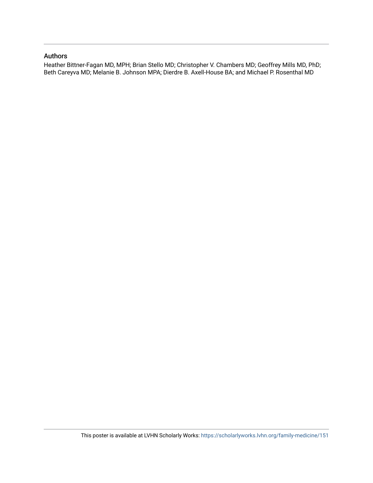### Authors

Heather Bittner-Fagan MD, MPH; Brian Stello MD; Christopher V. Chambers MD; Geoffrey Mills MD, PhD; Beth Careyva MD; Melanie B. Johnson MPA; Dierdre B. Axell-House BA; and Michael P. Rosenthal MD